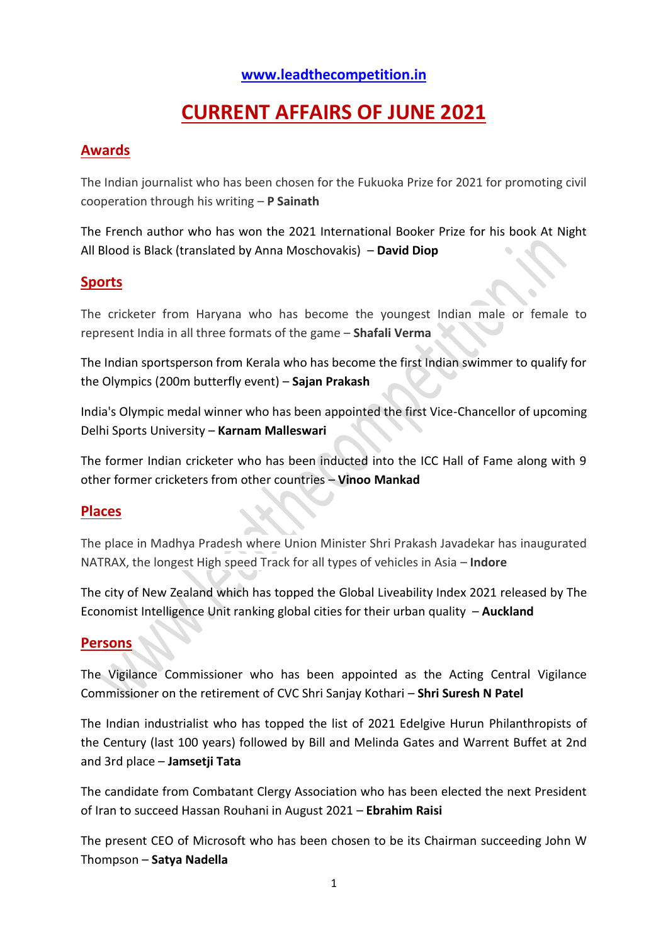### **[www.leadthecompetition.in](http://www.leadthecompetition.in/)**

# **CURRENT AFFAIRS OF JUNE 2021**

### **Awards**

The Indian journalist who has been chosen for the Fukuoka Prize for 2021 for promoting civil cooperation through his writing – **P Sainath**

The French author who has won the 2021 International Booker Prize for his book At Night All Blood is Black (translated by Anna Moschovakis) – **David Diop**

### **Sports**

The cricketer from Haryana who has become the youngest Indian male or female to represent India in all three formats of the game – **Shafali Verma**

The Indian sportsperson from Kerala who has become the first Indian swimmer to qualify for the Olympics (200m butterfly event) – **Sajan Prakash**

India's Olympic medal winner who has been appointed the first Vice-Chancellor of upcoming Delhi Sports University – **Karnam Malleswari**

The former Indian cricketer who has been inducted into the ICC Hall of Fame along with 9 other former cricketers from other countries – **Vinoo Mankad**

### **Places**

The place in Madhya Pradesh where Union Minister Shri Prakash Javadekar has inaugurated NATRAX, the longest High speed Track for all types of vehicles in Asia – **Indore**

The city of New Zealand which has topped the Global Liveability Index 2021 released by The Economist Intelligence Unit ranking global cities for their urban quality – **Auckland**

### **Persons**

The Vigilance Commissioner who has been appointed as the Acting Central Vigilance Commissioner on the retirement of CVC Shri Sanjay Kothari – **Shri Suresh N Patel**

The Indian industrialist who has topped the list of 2021 Edelgive Hurun Philanthropists of the Century (last 100 years) followed by Bill and Melinda Gates and Warrent Buffet at 2nd and 3rd place – **Jamsetji Tata**

The candidate from Combatant Clergy Association who has been elected the next President of Iran to succeed Hassan Rouhani in August 2021 – **Ebrahim Raisi**

The present CEO of Microsoft who has been chosen to be its Chairman succeeding John W Thompson – **Satya Nadella**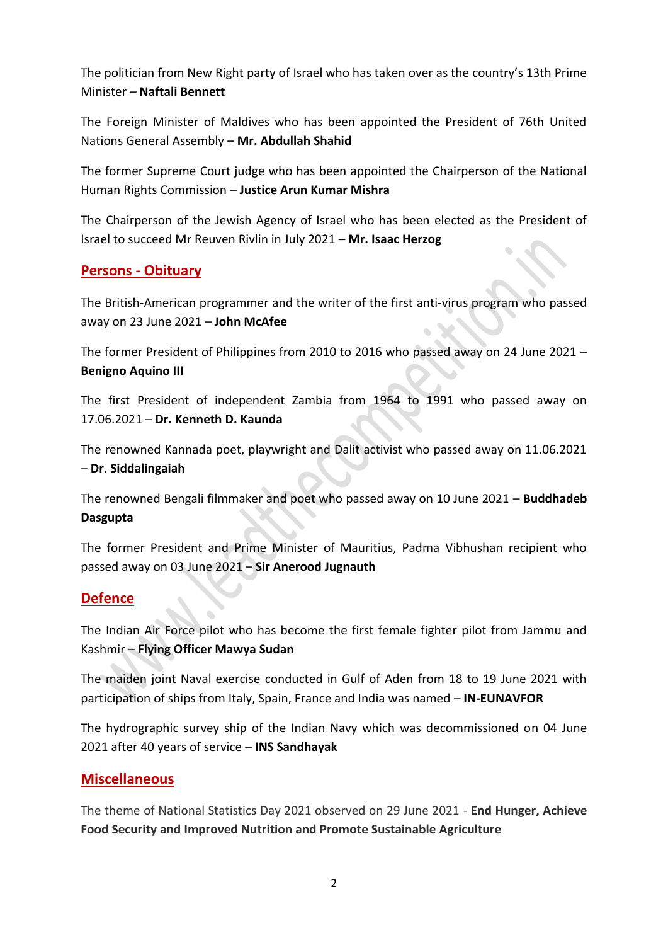The politician from New Right party of Israel who has taken over as the country's 13th Prime Minister – **Naftali Bennett**

The Foreign Minister of Maldives who has been appointed the President of 76th United Nations General Assembly – **Mr. Abdullah Shahid**

The former Supreme Court judge who has been appointed the Chairperson of the National Human Rights Commission – **Justice Arun Kumar Mishra**

The Chairperson of the Jewish Agency of Israel who has been elected as the President of Israel to succeed Mr Reuven Rivlin in July 2021 **– Mr. Isaac Herzog**

### **Persons - Obituary**

The British-American programmer and the writer of the first anti-virus program who passed away on 23 June 2021 – **John McAfee**

The former President of Philippines from 2010 to 2016 who passed away on 24 June 2021 – **Benigno Aquino III**

The first President of independent Zambia from 1964 to 1991 who passed away on 17.06.2021 – **Dr. Kenneth D. Kaunda**

The renowned Kannada poet, playwright and Dalit activist who passed away on 11.06.2021 – **Dr**. **Siddalingaiah**

The renowned Bengali filmmaker and poet who passed away on 10 June 2021 – **Buddhadeb Dasgupta**

The former President and Prime Minister of Mauritius, Padma Vibhushan recipient who passed away on 03 June 2021 – **Sir Anerood Jugnauth**

### **Defence**

The Indian Air Force pilot who has become the first female fighter pilot from Jammu and Kashmir – **Flying Officer Mawya Sudan**

The maiden joint Naval exercise conducted in Gulf of Aden from 18 to 19 June 2021 with participation of ships from Italy, Spain, France and India was named – **IN-EUNAVFOR**

The hydrographic survey ship of the Indian Navy which was decommissioned on 04 June 2021 after 40 years of service – **INS Sandhayak**

### **Miscellaneous**

The theme of National Statistics Day 2021 observed on 29 June 2021 - **End Hunger, Achieve Food Security and Improved Nutrition and Promote Sustainable Agriculture**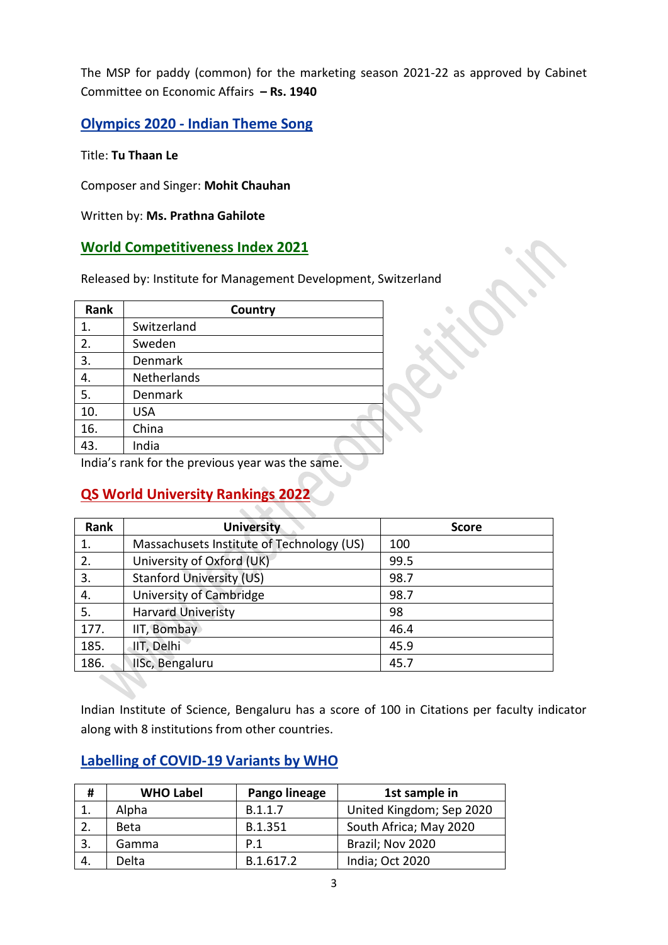The MSP for paddy (common) for the marketing season 2021-22 as approved by Cabinet Committee on Economic Affairs **– Rs. 1940**

**Olympics 2020 - Indian Theme Song** 

Title: **Tu Thaan Le**

Composer and Singer: **Mohit Chauhan**

Written by: **Ms. Prathna Gahilote**

### **World Competitiveness Index 2021**

Released by: Institute for Management Development, Switzerland

| Rank |             | Country |
|------|-------------|---------|
| 1.   | Switzerland |         |
| 2.   | Sweden      |         |
| 3.   | Denmark     |         |
| 4.   | Netherlands |         |
| 5.   | Denmark     |         |
| 10.  | <b>USA</b>  |         |
| 16.  | China       |         |
| 43.  | India       |         |

India's rank for the previous year was the same.

# **QS World University Rankings 2022**

| Rank | <b>University</b>                         | <b>Score</b> |
|------|-------------------------------------------|--------------|
| 1.   | Massachusets Institute of Technology (US) | 100          |
| 2.   | University of Oxford (UK)                 | 99.5         |
| 3.   | <b>Stanford University (US)</b>           | 98.7         |
| 4.   | University of Cambridge                   | 98.7         |
| 5.   | <b>Harvard Univeristy</b>                 | 98           |
| 177. | IIT, Bombay                               | 46.4         |
| 185. | IIT, Delhi                                | 45.9         |
| 186. | IISc, Bengaluru                           | 45.7         |

Indian Institute of Science, Bengaluru has a score of 100 in Citations per faculty indicator along with 8 institutions from other countries.

### **Labelling of COVID-19 Variants by WHO**

| #  | <b>WHO Label</b> | Pango lineage | 1st sample in            |
|----|------------------|---------------|--------------------------|
|    | Alpha            | B.1.1.7       | United Kingdom; Sep 2020 |
|    | <b>Beta</b>      | B.1.351       | South Africa; May 2020   |
|    | Gamma            | P.1           | Brazil; Nov 2020         |
| 4. | Delta            | B.1.617.2     | India; Oct 2020          |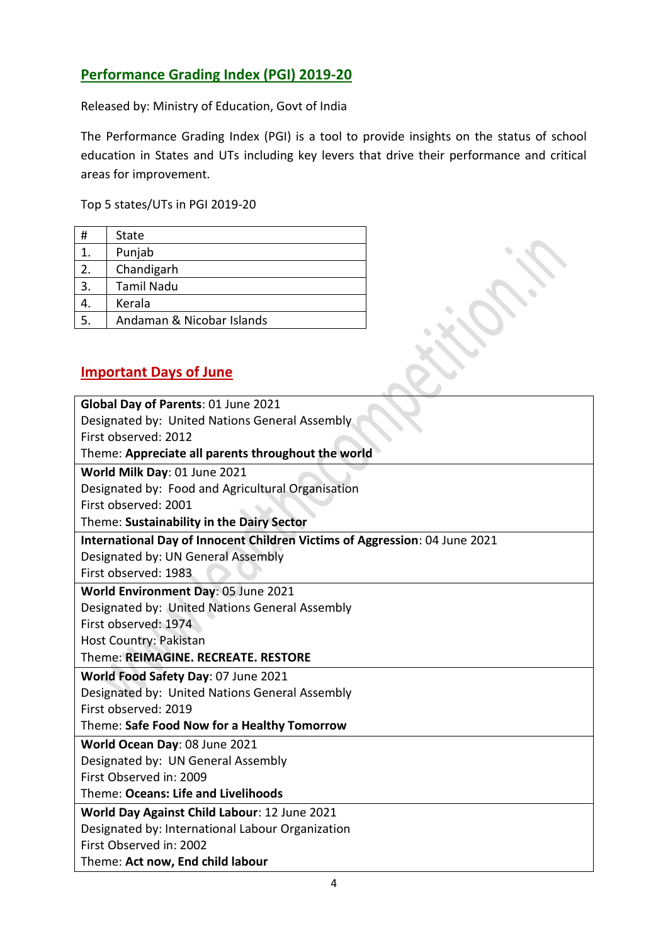# **Performance Grading Index (PGI) 2019-20**

Released by: Ministry of Education, Govt of India

The Performance Grading Index (PGI) is a tool to provide insights on the status of school education in States and UTs including key levers that drive their performance and critical areas for improvement.

Top 5 states/UTs in PGI 2019-20

| #  | <b>State</b>              |
|----|---------------------------|
| 1. | Punjab                    |
| 2. | Chandigarh                |
| 3. | <b>Tamil Nadu</b>         |
|    | Kerala                    |
| 5. | Andaman & Nicobar Islands |

## **Important Days of June**

| Global Day of Parents: 01 June 2021                                        |
|----------------------------------------------------------------------------|
| Designated by: United Nations General Assembly                             |
| First observed: 2012                                                       |
| Theme: Appreciate all parents throughout the world                         |
| World Milk Day: 01 June 2021                                               |
| Designated by: Food and Agricultural Organisation                          |
| First observed: 2001                                                       |
| Theme: Sustainability in the Dairy Sector                                  |
| International Day of Innocent Children Victims of Aggression: 04 June 2021 |
| Designated by: UN General Assembly                                         |
| First observed: 1983                                                       |
| World Environment Day: 05 June 2021                                        |
| Designated by: United Nations General Assembly                             |
| First observed: 1974                                                       |
| Host Country: Pakistan                                                     |
| Theme: REIMAGINE. RECREATE. RESTORE                                        |
| World Food Safety Day: 07 June 2021                                        |
| Designated by: United Nations General Assembly                             |
| First observed: 2019                                                       |
| Theme: Safe Food Now for a Healthy Tomorrow                                |
| World Ocean Day: 08 June 2021                                              |
| Designated by: UN General Assembly                                         |
| First Observed in: 2009                                                    |
| Theme: Oceans: Life and Livelihoods                                        |
| World Day Against Child Labour: 12 June 2021                               |
| Designated by: International Labour Organization                           |
| First Observed in: 2002                                                    |
| Theme: Act now, End child labour                                           |
|                                                                            |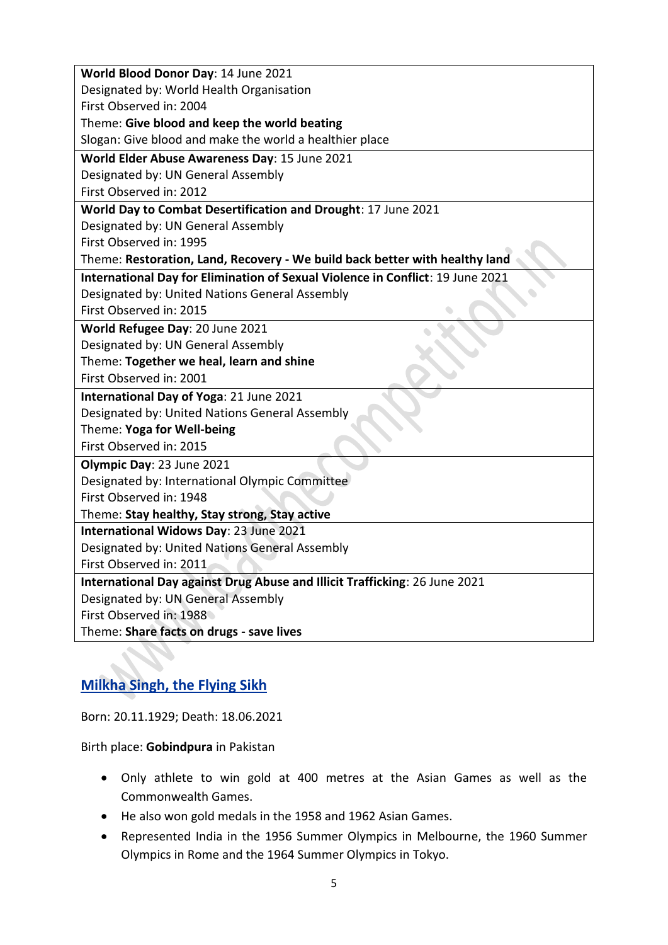| World Blood Donor Day: 14 June 2021                                            |
|--------------------------------------------------------------------------------|
| Designated by: World Health Organisation                                       |
| First Observed in: 2004                                                        |
| Theme: Give blood and keep the world beating                                   |
| Slogan: Give blood and make the world a healthier place                        |
| World Elder Abuse Awareness Day: 15 June 2021                                  |
| Designated by: UN General Assembly                                             |
| First Observed in: 2012                                                        |
| World Day to Combat Desertification and Drought: 17 June 2021                  |
| Designated by: UN General Assembly                                             |
| First Observed in: 1995                                                        |
| Theme: Restoration, Land, Recovery - We build back better with healthy land    |
| International Day for Elimination of Sexual Violence in Conflict: 19 June 2021 |
| Designated by: United Nations General Assembly                                 |
| First Observed in: 2015                                                        |
| World Refugee Day: 20 June 2021                                                |
| Designated by: UN General Assembly                                             |
| Theme: Together we heal, learn and shine                                       |
| First Observed in: 2001                                                        |
| International Day of Yoga: 21 June 2021                                        |
| Designated by: United Nations General Assembly                                 |
| Theme: Yoga for Well-being                                                     |
| First Observed in: 2015                                                        |
| Olympic Day: 23 June 2021                                                      |
| Designated by: International Olympic Committee                                 |
| First Observed in: 1948                                                        |
| Theme: Stay healthy, Stay strong, Stay active                                  |
| International Widows Day: 23 June 2021                                         |
| Designated by: United Nations General Assembly                                 |
| First Observed in: 2011                                                        |
| International Day against Drug Abuse and Illicit Trafficking: 26 June 2021     |
| Designated by: UN General Assembly                                             |
| First Observed in: 1988                                                        |
| Theme: Share facts on drugs - save lives                                       |

# **Milkha Singh, the Flying Sikh**

Born: 20.11.1929; Death: 18.06.2021

Birth place: **Gobindpura** in Pakistan

- Only athlete to win gold at 400 metres at the Asian Games as well as the Commonwealth Games.
- He also won gold medals in the 1958 and 1962 Asian Games.
- Represented India in the 1956 Summer Olympics in Melbourne, the 1960 Summer Olympics in Rome and the 1964 Summer Olympics in Tokyo.